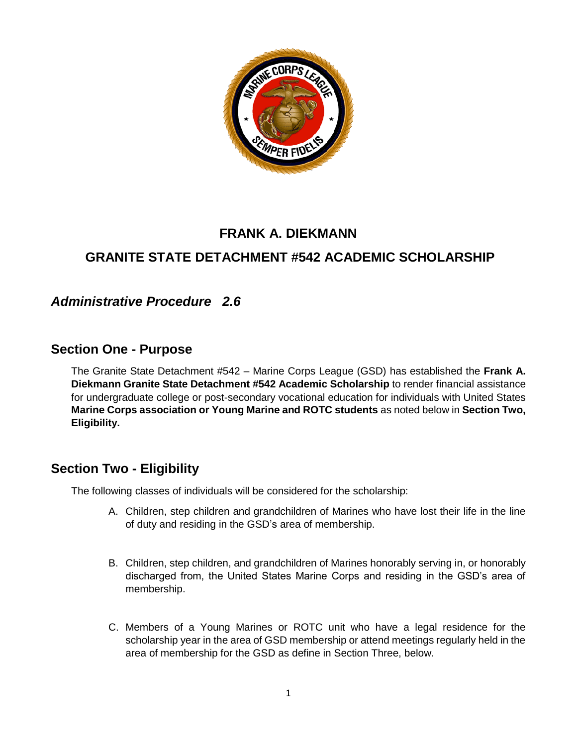

# **FRANK A. DIEKMANN**

# **GRANITE STATE DETACHMENT #542 ACADEMIC SCHOLARSHIP**

## *Administrative Procedure 2.6*

### **Section One - Purpose**

The Granite State Detachment #542 – Marine Corps League (GSD) has established the **Frank A. Diekmann Granite State Detachment #542 Academic Scholarship** to render financial assistance for undergraduate college or post-secondary vocational education for individuals with United States **Marine Corps association or Young Marine and ROTC students** as noted below in **Section Two, Eligibility.**

## **Section Two - Eligibility**

The following classes of individuals will be considered for the scholarship:

- A. Children, step children and grandchildren of Marines who have lost their life in the line of duty and residing in the GSD's area of membership.
- B. Children, step children, and grandchildren of Marines honorably serving in, or honorably discharged from, the United States Marine Corps and residing in the GSD's area of membership.
- C. Members of a Young Marines or ROTC unit who have a legal residence for the scholarship year in the area of GSD membership or attend meetings regularly held in the area of membership for the GSD as define in Section Three, below.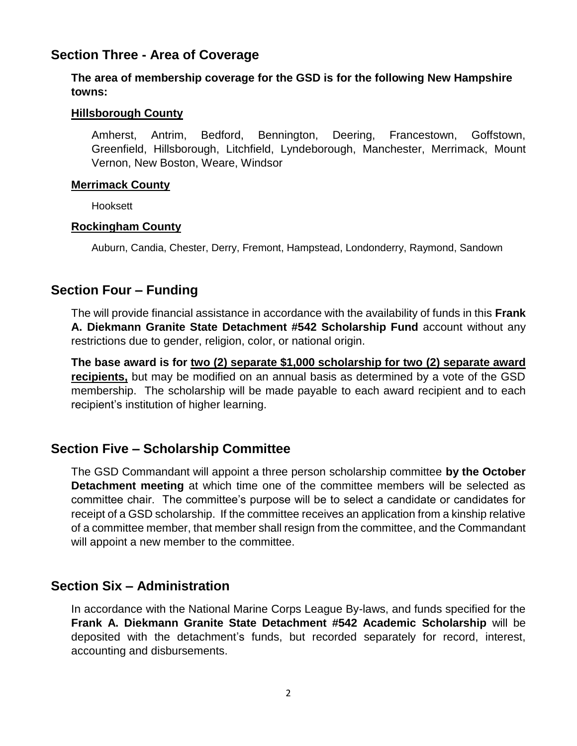### **Section Three - Area of Coverage**

#### **The area of membership coverage for the GSD is for the following New Hampshire towns:**

#### **Hillsborough County**

Amherst, Antrim, Bedford, Bennington, Deering, Francestown, Goffstown, Greenfield, Hillsborough, Litchfield, Lyndeborough, Manchester, Merrimack, Mount Vernon, New Boston, Weare, Windsor

#### **Merrimack County**

Hooksett

#### **Rockingham County**

Auburn, Candia, Chester, Derry, Fremont, Hampstead, Londonderry, Raymond, Sandown

## **Section Four – Funding**

The will provide financial assistance in accordance with the availability of funds in this **Frank A. Diekmann Granite State Detachment #542 Scholarship Fund** account without any restrictions due to gender, religion, color, or national origin.

**The base award is for two (2) separate \$1,000 scholarship for two (2) separate award recipients,** but may be modified on an annual basis as determined by a vote of the GSD membership. The scholarship will be made payable to each award recipient and to each recipient's institution of higher learning.

## **Section Five – Scholarship Committee**

The GSD Commandant will appoint a three person scholarship committee **by the October Detachment meeting** at which time one of the committee members will be selected as committee chair. The committee's purpose will be to select a candidate or candidates for receipt of a GSD scholarship. If the committee receives an application from a kinship relative of a committee member, that member shall resign from the committee, and the Commandant will appoint a new member to the committee.

## **Section Six – Administration**

In accordance with the National Marine Corps League By-laws, and funds specified for the **Frank A. Diekmann Granite State Detachment #542 Academic Scholarship** will be deposited with the detachment's funds, but recorded separately for record, interest, accounting and disbursements.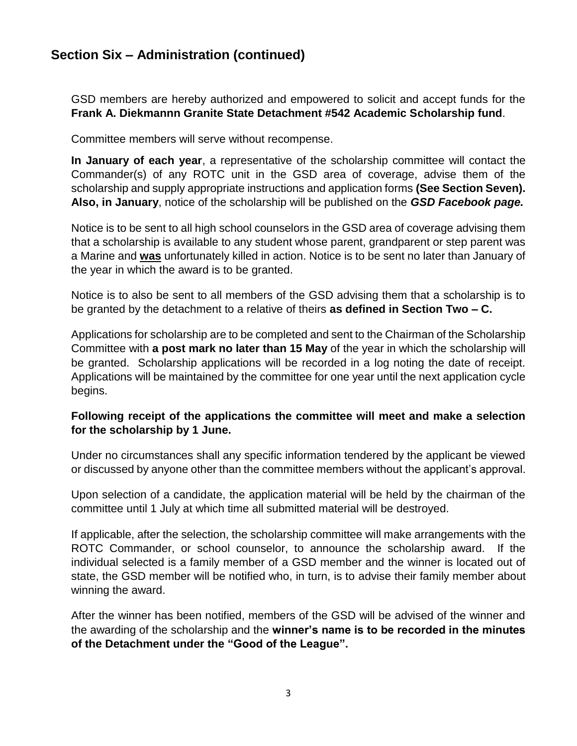## **Section Six – Administration (continued)**

GSD members are hereby authorized and empowered to solicit and accept funds for the **Frank A. Diekmannn Granite State Detachment #542 Academic Scholarship fund**.

Committee members will serve without recompense.

**In January of each year**, a representative of the scholarship committee will contact the Commander(s) of any ROTC unit in the GSD area of coverage, advise them of the scholarship and supply appropriate instructions and application forms **(See Section Seven). Also, in January**, notice of the scholarship will be published on the *GSD Facebook page.*

Notice is to be sent to all high school counselors in the GSD area of coverage advising them that a scholarship is available to any student whose parent, grandparent or step parent was a Marine and **was** unfortunately killed in action. Notice is to be sent no later than January of the year in which the award is to be granted.

Notice is to also be sent to all members of the GSD advising them that a scholarship is to be granted by the detachment to a relative of theirs **as defined in Section Two – C.**

Applications for scholarship are to be completed and sent to the Chairman of the Scholarship Committee with **a post mark no later than 15 May** of the year in which the scholarship will be granted. Scholarship applications will be recorded in a log noting the date of receipt. Applications will be maintained by the committee for one year until the next application cycle begins.

#### **Following receipt of the applications the committee will meet and make a selection for the scholarship by 1 June.**

Under no circumstances shall any specific information tendered by the applicant be viewed or discussed by anyone other than the committee members without the applicant's approval.

Upon selection of a candidate, the application material will be held by the chairman of the committee until 1 July at which time all submitted material will be destroyed.

If applicable, after the selection, the scholarship committee will make arrangements with the ROTC Commander, or school counselor, to announce the scholarship award. If the individual selected is a family member of a GSD member and the winner is located out of state, the GSD member will be notified who, in turn, is to advise their family member about winning the award.

After the winner has been notified, members of the GSD will be advised of the winner and the awarding of the scholarship and the **winner's name is to be recorded in the minutes of the Detachment under the "Good of the League".**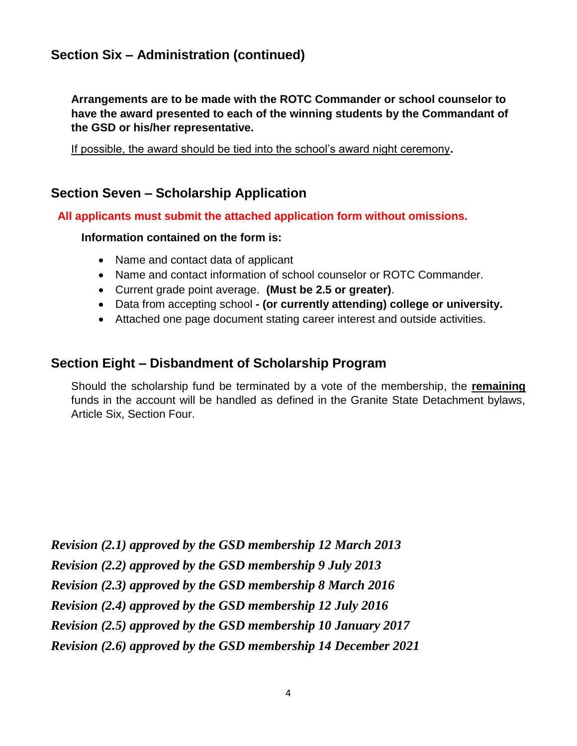# **Section Six – Administration (continued)**

**Arrangements are to be made with the ROTC Commander or school counselor to have the award presented to each of the winning students by the Commandant of the GSD or his/her representative.**

If possible, the award should be tied into the school's award night ceremony**.**

## **Section Seven – Scholarship Application**

**All applicants must submit the attached application form without omissions.**

#### **Information contained on the form is:**

- Name and contact data of applicant
- Name and contact information of school counselor or ROTC Commander.
- Current grade point average. **(Must be 2.5 or greater)**.
- Data from accepting school **- (or currently attending) college or university.**
- Attached one page document stating career interest and outside activities.

## **Section Eight – Disbandment of Scholarship Program**

Should the scholarship fund be terminated by a vote of the membership, the **remaining** funds in the account will be handled as defined in the Granite State Detachment bylaws, Article Six, Section Four.

*Revision (2.1) approved by the GSD membership 12 March 2013 Revision (2.2) approved by the GSD membership 9 July 2013 Revision (2.3) approved by the GSD membership 8 March 2016 Revision (2.4) approved by the GSD membership 12 July 2016 Revision (2.5) approved by the GSD membership 10 January 2017 Revision (2.6) approved by the GSD membership 14 December 2021*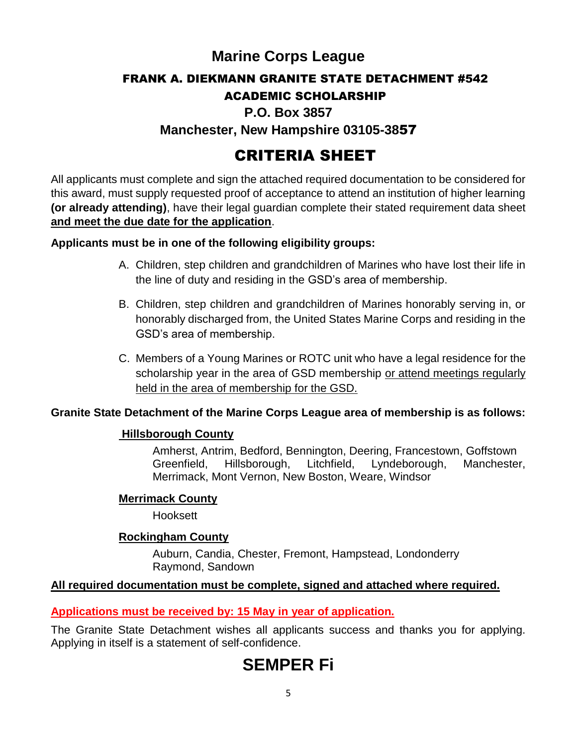# **Marine Corps League**

### FRANK A. DIEKMANN GRANITE STATE DETACHMENT #542

## ACADEMIC SCHOLARSHIP

## **P.O. Box 3857**

## **Manchester, New Hampshire 03105-38**57

# CRITERIA SHEET

All applicants must complete and sign the attached required documentation to be considered for this award, must supply requested proof of acceptance to attend an institution of higher learning **(or already attending)**, have their legal guardian complete their stated requirement data sheet **and meet the due date for the application**.

#### **Applicants must be in one of the following eligibility groups:**

- A. Children, step children and grandchildren of Marines who have lost their life in the line of duty and residing in the GSD's area of membership.
- B. Children, step children and grandchildren of Marines honorably serving in, or honorably discharged from, the United States Marine Corps and residing in the GSD's area of membership.
- C. Members of a Young Marines or ROTC unit who have a legal residence for the scholarship year in the area of GSD membership or attend meetings regularly held in the area of membership for the GSD.

### **Granite State Detachment of the Marine Corps League area of membership is as follows:**

#### **Hillsborough County**

Amherst, Antrim, Bedford, Bennington, Deering, Francestown, Goffstown Greenfield, Hillsborough, Litchfield, Lyndeborough, Manchester, Merrimack, Mont Vernon, New Boston, Weare, Windsor

#### **Merrimack County**

Hooksett

#### **Rockingham County**

Auburn, Candia, Chester, Fremont, Hampstead, Londonderry Raymond, Sandown

### **All required documentation must be complete, signed and attached where required.**

### **Applications must be received by: 15 May in year of application.**

The Granite State Detachment wishes all applicants success and thanks you for applying. Applying in itself is a statement of self-confidence.

# **SEMPER Fi**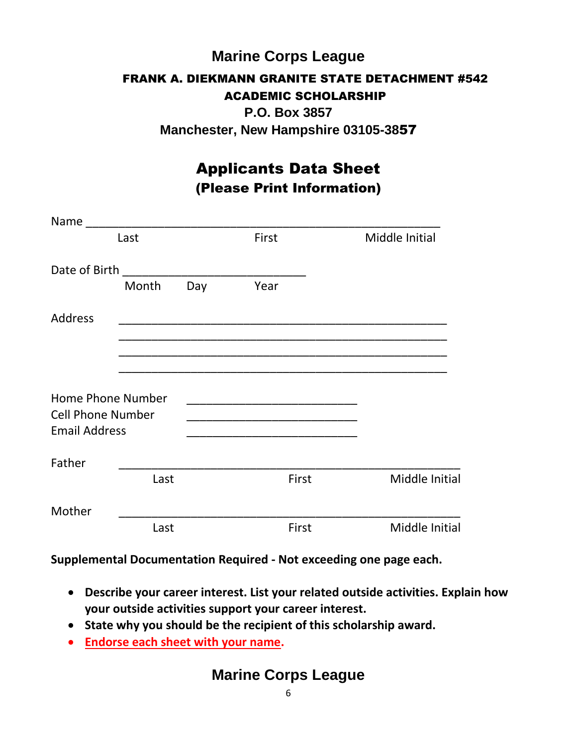# **Marine Corps League** FRANK A. DIEKMANN GRANITE STATE DETACHMENT #542 ACADEMIC SCHOLARSHIP **P.O. Box 3857**

**Manchester, New Hampshire 03105-38**57

# Applicants Data Sheet (Please Print Information)

| Name                                             |       |     |       |                |
|--------------------------------------------------|-------|-----|-------|----------------|
| Last                                             |       |     | First | Middle Initial |
| Date of Birth                                    |       |     |       |                |
|                                                  | Month | Day | Year  |                |
| Address                                          |       |     |       |                |
|                                                  |       |     |       |                |
|                                                  |       |     |       |                |
| Home Phone Number                                |       |     |       |                |
| <b>Cell Phone Number</b><br><b>Email Address</b> |       |     |       |                |
| Father                                           |       |     |       |                |
|                                                  | Last  |     | First | Middle Initial |
| Mother                                           |       |     |       |                |
|                                                  | Last  |     | First | Middle Initial |

**Supplemental Documentation Required - Not exceeding one page each.**

- **Describe your career interest. List your related outside activities. Explain how your outside activities support your career interest.**
- **State why you should be the recipient of this scholarship award.**
- **Endorse each sheet with your name.**

# **Marine Corps League**